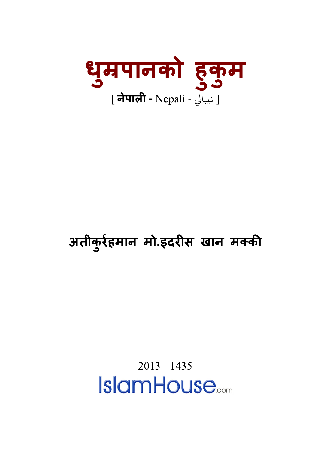

#### **अतीक रर्हमा मो.इदर�स खान मक्क ु**

2013 - 1435**IslamHouse**.....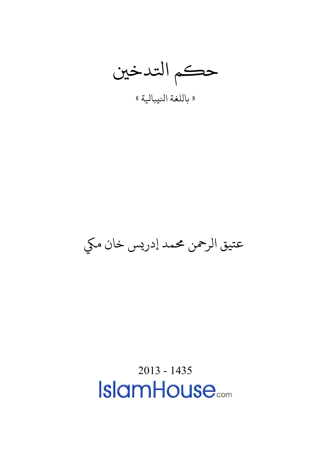حكم التدخين

« للغة انليبايلة »

عتيق الرحمن محمد إدريس خان مكي

## 2013 - 1435 **IslamHouse**.....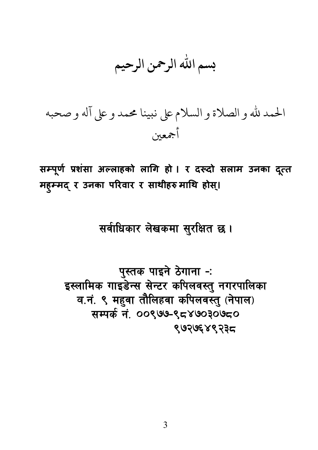بسم الله الرحمن الرحيم

الحمد لله و الصلاة و السلام على نبينا محمد و على آله و صحبه أجمعين

सम्पूर्ण प्रशंसा अल्लाहको लागि हो। र दरूदो सलाम उनका दूत्त मह्म्मद् र उनका परिवार र साथीहरु माथि होस्।

#### सर्वाधिकार लेखकमा सुरक्षित छ।

पुस्तक पाइने ठेगाना -: इस्लामिक गाइडेन्स सेन्टर कपिलवस्तु नगरपालिका व.नं. ९ महवा तौलिहवा कपिलवस्त् (नेपाल) सम्पर्क नं. ००९७७-९८४७०३०७८० ९७२७६४९२३८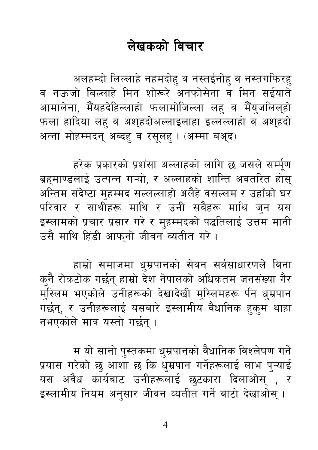### लेखकको विचार

अलहम्दो लिल्लाहे नहमदोह् व नस्तईनोह् व नस्तगफिरह् व नऊजो बिल्लाहे मिन शोरूरे अनफोसेना व मिन सईयाते आमालेना, मैंयहदेहिल्लाहो फलामोजिल्ला लह व मैंयुजलिल्हो फला हादिया लह व अशहदोअल्लाइलाहा इल्लल्लाहो व अशहदो अन्ना मोहम्मदन् अब्दह् व रसुलह् । (अम्मा बअ़द)

हरेक प्रकारको प्रशंसा अल्लाहको लागि छ जसले सर्म्पूण ब्रहमाण्डलाई उत्पन्न गऱ्यो, र अल्लाहको शान्ति अवतरित होस् अन्तिम संदेष्टा मुहम्मद सल्लल्लाहो अलैहे वसल्लम र उहाँको घर परिवार र सार्थोहरू माथि र उनी सबैहरू माथि जुन यस इस्लामको प्रचार प्रसार गरे र मुहम्मदको पद्धतिलाई उत्तम मानी उसै माथि हिंडी आफ़्नो जीवन व्यतीत गरे।

हाम्रो समाजमा ध्म्रपानको सेवन सर्वसाधारणले बिना क्नै रोकटोक गर्छन् हाम्रो देश नेपालको अधिकतम जनसंख्या गैर .<br>मस्लिम भएकोले उनीहरूको देखादेखी मुस्लिमहरू पन धुम्रपान गर्छन्, र उनीहरूलाई यसबारे इस्लामीय वैधानिक हकम थाहा नभएकोले मात्र यस्तो गर्छन्।

म यो सानो पुस्तकमा धुम्रपानको वैधानिक विश्लेषण गर्ने प्रयास गरेको छु आशा छ कि घुम्रपान गर्नेहरूलाई लाभ पुऱ्याई यस अवैध कार्यबाट उनीहरूलाई छुटकारा दिलाओस् , र इस्लामीय नियम अनुसार जीवन व्यतीत गर्ने बाटो देखाओस् ।

 $\overline{4}$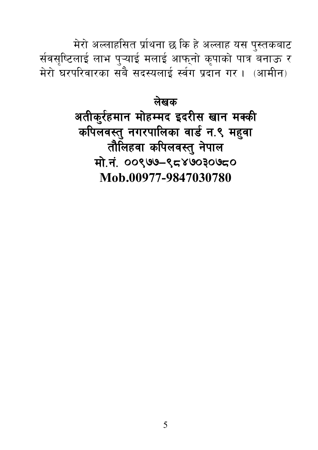मेरो अल्लाहसित प्रांथना छ कि हे अल्लाह यस पुस्तकबाट र्सवसृष्टिलाई लाभ पुऱ्याई मलाई आफ्नो कृपाको पात्र बनाऊ र .<br>मेरो घरपरिवारका सबै सदस्यलाई र्स्वग प्रदान गर । (आमीन)

#### लेखक

अतीकुर्रहमान मोहम्मद इदरीस खान मक्की कपिलवस्तु नगरपालिका वार्ड न.९ महुवा तौलिहवा कपिलवस्त् नेपाल मो.नं. ००९७७-९८४७०३०७८० Mob.00977-9847030780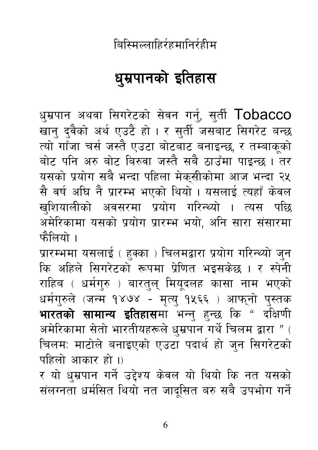बिस्मिल्लाहिर्रहमानिर्रहीम

# धुम्रपानको इतिहास

धुम्रपान अथवा सिगरेटको सेवन गर्न्, सुर्ती  $\overline{\rm{C}}$ Dacco खान् दुवैको अर्थ एउटै हो । र सुर्ती जसबाट सिगरेट बन्छ त्यो गाँजा चर्स जस्तै एउटा बोटबाट बनाइन्छ, र तम्बाकूको बोट पनि अरु बोट बिरुवा जस्तै सबै ठाउँमा पाइन्छ । तर यसको प्रयोग सबै भन्दा पहिला मेकसीकोमा आज भन्दा २५ सै वर्ष अघि नै प्रारम्भ भएको थियो । यसलाई त्यहाँ केवल खशियालीको अवसरमा प्रयोग गरिन्थ्यो । त्यस पछि अमेरिकामा यसको प्रयोग प्रारम्भ भयो. अनि सारा संसारमा फैलियो ।

प्रारम्भमा यसलाई ( हक्का ) चिलमद्वारा प्रयोग गरिन्थ्यो जुन कि अहिले सिगरेटको रूपमा प्रेणित भइसकेछ । र स्पेनी राहिब ( धर्मगुरु ) बारतुल् मियूदलह कासा नाम भएको धर्मगुरुले (जन्म १४७४ - मृत्यु १५६६ ) आफुनो पुस्तक भारतको सामान्य इतिहासमा भन्न हुन्छ कि " दक्षिणी अमेरिकामा सेतो भारतीयहरूले धम्रपान गर्थे चिलम द्वारा " ( चिलम: माटोले बनाइएको एउटा पदार्थ हो जन सिगरेटको पहिलो आकार हो।)

र यो धुम्रपान गर्ने उद्देश्य केवल यो थियो कि नत यसको संलग्नता धर्मसित थियो नत जादसित बरु सबै उपभोग गर्ने

6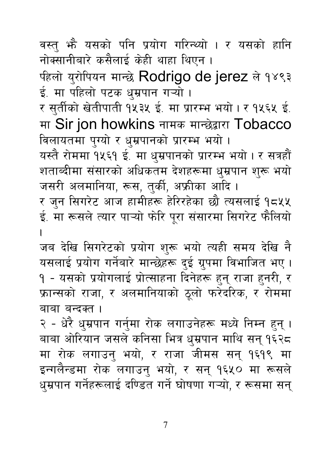वस्त् भौ यसको पनि प्रयोग गरिन्थ्यो । र यसको हानि नोक्सानीबारे कसैलाई केही थाहा थिएन ।

पहलो युरोपियन मान्छे Rodrigo de jerez ले १४९३ ई. मा पहिलो पटक धम्रपान गऱ्यो ।

र सुर्तीको खेतीपाती १५३५ ई. मा प्रारम्भ भयो। र १५६५ ई. मा Sir jon howkins नामक मान्छेद्वारा Tobacco विलायतमा पुग्यो र धुम्रपानको प्रारम्भ भयो ।

यस्तै रोममा १५६१ ई. मा धुम्रपानको प्रारम्भ भयो । र सत्रहौं शताब्दीमा संसारको अधिकतम देशहरूमा धुम्रपान शुरू भयो जसरी अलमानिया, रूस, तुर्की, अफ्रीका आदि ।

र जुन सिगरेट आज हामीहरू हेरिरहेका छौ त्यसलाई १८५५ ई. मा रूसले त्यार पाऱ्यो फोरे पूरा संसारमा सिगरेट फैलियो

जब देखि सिगरेटको प्रयोग शुरू भयो त्यही समय देखि नै यसलाई प्रयोग गर्नेबारे मान्छेहरू दुई ग्रुपमा विभाजित भए । <u> १ - यसको प्रयोगलाई प्रोत्साहना दिनेहरू हुनु राजा हुनरी, र</u> फ्रान्सको राजा, र अलमानियाको ठूलो फरेदरिक, र रोममा बाबा बन्दक्त ।

२ - धेरै धुम्रपान गर्नुमा रोक लगाउनेहरू मध्ये निम्न हुन् । बाबा ओरियान जसले कनिसा भित्र धुम्रपान माथि सन् १६२८ मा रोक लगाउनु भयो, र राजा जीमस सन् १६१९ मा इन्गलैन्डमा रोक लगाउन् भयो, र सन् १६५० मा रूसले धुम्रपान गर्नेहरूलाई दण्डित गर्ने घोषणा गऱ्यो. र रूसमा सन

 $\overline{7}$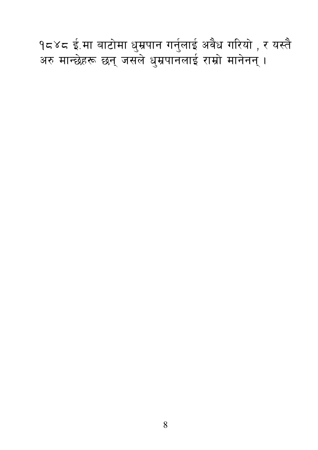१८४८ ई.मा बाटोमा धुम्रपान गर्नुलाई अवैध गरियो , र यस्तै<br>अरु मान्छेहरू छन् जसले धुम्रपानलाई राम्रो मानेनन् ।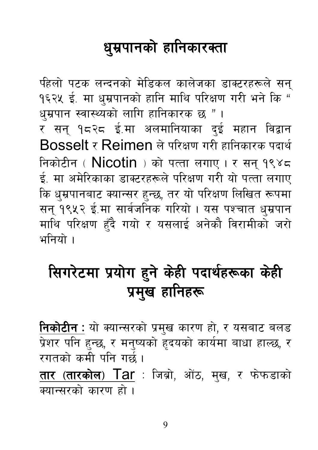# धुम्रपानको हानिकारक्ता

र्पहलो पटक लन्दनको मेडिकल कालेजका डाक्टरहरूले सन् १६२५ ई. मा धुम्रपानको हानि माथि परिक्षण गरी भने कि " धम्रपान स्वास्थ्यको लागि हानिकारक छ "। र सन् १८२८ ई.मा अलमानियाका दई महान विद्वान  $B$ osselt र Reimen ले परिक्षण गरी हानिकारक पदार्थ निकोटीन ( Nicotin ) को पत्ता लगाए । र सन् १९४८ ई. मा अमेरिकाका डाक्टरहरूले परिक्षण गरी यो पत्ता लगाए कि धम्रपानबाट क्यान्सर हुन्छ, तर यो परिक्षण लिखित रूपमा सन् १९५२ ई.मा सार्वजनिक गरियो । यस पश्चात धुम्रपान माथि परिक्षण हुँदै गयो र यसलाई अनेकौ विरामीको जरो भनियो ।

## सिगरेटमा प्रयोग हुने केही पदार्थहरूका केही प्रमुख हानिहरू

निकोटीन : यो क्यान्सरको प्रमुख कारण हो, र यसबाट बलड प्रेशर पनि हुन्छ, र मनुष्यको हुदयको कार्यमा बाधा हाल्छ, र रगतको कमी पनि गर्छ ।

तार (तारकोल) Tar : जिब्रो, ओंठ, मुख, र फेफडाको क्यान्सरको कारण हो ।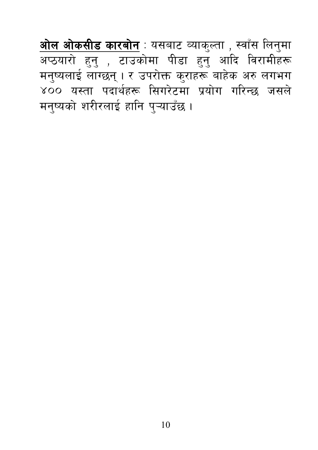<mark>ओल ओकसीड कारबोन</mark> : यसबाट व्याकुल्ता , स्वाँस लिनुमा<br>अप्ठयारो हुनु , टाउकोमा पीडा हुनु आदि विरामीहरू मनुष्यलाई लाग्छन् । र उपरोक्त कुराहरू बाहेक अरु लगभग ४०० यस्ता पदार्थहरू सिगरेटमा प्रयोग गरिन्छ जसले मनुष्यको शरीरलाई हानि प्ऱ्याउँछ।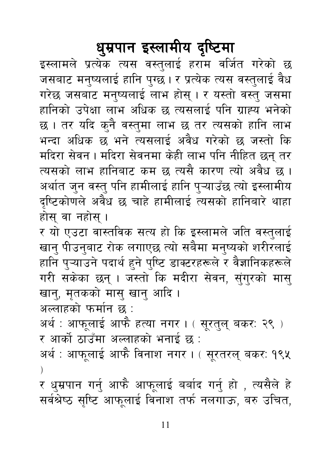## धुम्रपान इस्लामीय दृष्टिमा

इस्लामले प्रत्येक त्यस वस्तुलाई हराम वर्जित गरेको छ जसबाट मनुष्यलाई हानि पुग्छ। र प्रत्येक त्यस वस्तुलाई वैध गरेछ जसबाट मनुष्यलाई लाभ होस् । र यस्तो वस्तु जसमा हानिको उपेक्षा लाभ अधिक छ त्यसलाई पनि ग्राह्य भनेको छ । तर यदि कुनै वस्तुमा लाभ छ तर त्यसको हानि लाभ भन्दा अधिक छ भने त्यसलाई अवैध गरेको छ जस्तो कि मदिरा सेवन । मदिरा सेवनमा केही लाभ पनि नीहित छन् तर त्यसको लाभ हानिबाट कम छ त्यसै कारण त्यो अवैध छ। अर्थात जुन वस्तु पनि हामीलाई हानि प्ऱ्याउँछ त्यो इस्लामीय दष्टिकोणले अवैध छ चाहे हामीलाई त्यसको हानिबारे थाहा होस् वा नहोस् ।

र यो एउटा वास्तविक सत्य हो कि इस्लामले जति वस्तुलाई खान् पीउन्बाट रोक लगाएछ त्यो सबैमा मन्ष्यको शरीरलाई हानि प्ऱ्याउने पदार्थ हुने पुष्टि डाक्टरहरूले र वैज्ञानिकहरूले गरी सकेका छन् । जस्तो कि मदीरा सेवन, संगरको मास खान्, मृतकको मासु खानु आदि ।

अल्लाहको फर्मान छ :

अर्थ : आफूलाई आफै हत्या नगर। (सूरतुल् बकर: २९) र आर्को ठाउँमा अल्लाहको भनाई छ :

अर्थ : आफ्लाई आफै विनाश नगर । ( सूरतरल् बकर: १९५

र धुम्रपान गर्नु आफै आफूलाई बर्बाद गर्नु हो , त्यसैले हे सर्वश्रेष्ठ सृष्टि आफूलाई विनाश तर्फ नलगाऊ, बरु उचित,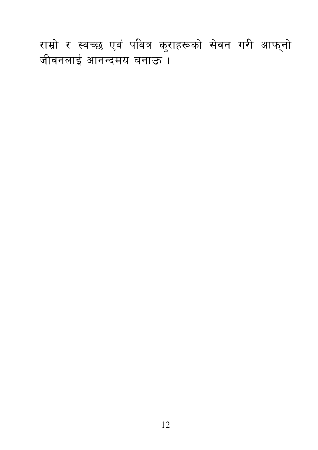राम्रो र स्वच्छ एवं पवित्र कुराहरूको सेवन गरी आफ्नो<br>जीवनलाई आनन्दमय बनाऊ ।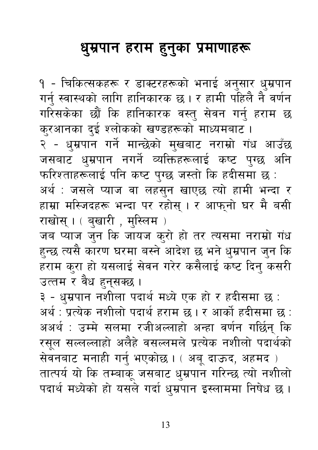## धुम्रपान हराम हुनुका प्रमाणाहरू

१ - चिकित्सकहरू र डाक्टरहरूको भनाई अनुसार धुम्रपान गर्न् स्वास्थको लागि हानिकारक छ। र हामी पहिलै नै वर्णन गरिसकेका छौं कि हानिकारक वस्तु सेवन गर्नु हराम छ कुरआनका दुई श्लोकको खण्डहरूको माध्यमबाट ।

२ - धुम्रपान गर्ने मान्छेको मुखबाट नराम्रो गंध आउँछ जसबाट धुम्रपान नगर्ने व्यक्तिहरूलाई कष्ट पुग्छ अनि फरिश्ताहरूलाई पनि कष्ट पुग्छ जस्तो कि हदीसमा छ :

अर्थ : जसले प्याज वा लहसन खाएछ त्यो हामी भन्दा र हाम्रा मस्जिदहरू भन्दा पर रहोस् । र आफ्नो घर मै बसी राखोस् । ( बखारी , मुस्लिम)

जब प्याज जुन कि जायज करो हो तर त्यसमा नराम्रो गंध हुन्छ त्यसै कारण घरमा बस्ने आदेश छ भने धुम्रपान जुन कि हराम करा हो यसलाई सेवन गरेर कसैलाई कष्ट दिन् कसरी उत्तम र वैध हनसक्छ ।

३ - धुम्रपान नशीला पदार्थ मध्ये एक हो र हदीसमा छ : अर्थ : प्रत्येक नशीलो पदार्थ हराम छ । र आर्को हदीसमा छ : अअर्थ : उम्मे सलमा रजीअल्लाहो अन्हा वर्णन गर्छिन् कि रसूल सल्लल्लाहो अलैहे वसल्लमले प्रत्येक नशीलो पदार्थको

सेवनबाट मनाही गर्न् भएकोछ । ( अबू दाऊद, अहमद ) तात्पर्य यो कि तम्बाकू जसबाट धुम्रपान गरिन्छ त्यो नशीलो पदार्थ मध्येको हो यसले गर्दा धुम्रपान इस्लाममा निषेध छ ।

 $13$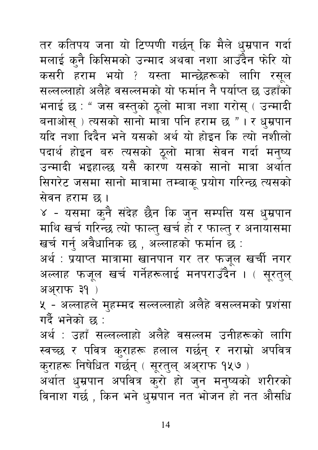तर कतिपय जना यो टिप्पणी गर्छन् कि मैले ध्म्रपान गर्दा मलाई कुनै किसिमको उन्माद अथवा नशा आउँदैन फेरि यो कसरी हराम भयो ? यस्ता मान्छेहरूको लागि रसुल सल्लल्लाहो अलैहे वसल्लमको यो फर्मान नै पर्याप्त छ उहाँको भनाई छ : " जस वस्तुको ठूलो मात्रा नशा गरोस् ( उन्मादी बनाओस्) त्यसको सानो मात्रा पनि हराम छ "। र धुम्रपान यदि नशा दिदैन भने यसको अर्थ यो होइन कि त्यो नशीलो पदार्थ होइन बरु त्यसको ठुलो मात्रा सेवन गर्दा मनुष्य उन्मादी भइहाल्छ यसै कारण यसको सानो मात्रा अर्थात सिगरेट जसमा सानो मात्रामा तम्बाक् प्रयोग गरिन्छ त्यसको सेवन हराम छ ।

४ - यसमा क्नै संदेह छैन कि जुन सम्पत्ति यस धुम्रपान माथि खर्च गरिन्छ त्यो फाल्त खर्च हो र फाल्तु र अनायासमा खर्च गर्न् अवैधानिक छ , अल्लाहको फर्मान छ :

अर्थ : प्रयाप्त मात्रामा खानपान गर तर फजूल खर्ची नगर अल्लाह फजल खर्च गर्नेहरूलाई मनपराउँदैन । ( सरतल अअराफ ३१)

५ - अल्लाहले मुहम्मद सल्लल्लाहो अलैहे वसल्लमको प्रशंसा गर्दै भनेको छ $^+$ 

अर्थ : उहाँ सल्लल्लाहो अलैहे वसल्लम उनीहरूको लागि स्वच्छ र पवित्र क्राहरू हलाल गर्छन् र नराम्रो अपवित्र कराहरू निषेधित गर्छन् (सूरत्ल् अअ्राफ १५७) अर्थात धुम्रपान अपवित्र करो हो जुन मनुष्यको शरीरको

विनाश गर्छ, किन भने धम्रपान नत भोजन हो नत औसधि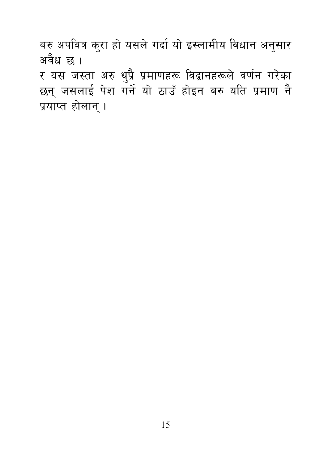बरु अपवित्र कुरा हो यसले गर्दा यो इस्लामीय विधान अनुसार अवैध छ।

र यस जस्ता अरु थुप्रै प्रमाणहरू विद्वानहरूले वर्णन गरेका छन् जसलाई पेश गर्ने यो ठाउँ होइन बरु यति प्रमाण नै प्रयाप्त होलान् ।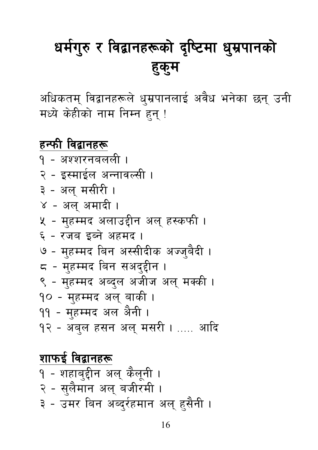# धर्मगुरु र विद्वानहरूको दृष्टिमा धुम्रपानको हुकुम

अधिकतम् विद्वानहरूले ध्म्रपानलाई अवैध भनेका छन् उनी मध्ये केहीको नाम निम्न हुन् !

हन्फी विद्वानहरू <u> १ - अश्शरनबलली ।</u> २ - इस्माईल अन्नावल्सी । ३ - अलु मसीरी । ४ - अल् अमादी । ५ - मुहम्मद अलाउद्दीन अल् हस्कफी । ६ - रजब इब्ने अहमद। ७ - मुहम्मद बिन अस्सीदीक अज्जुबैदी। ८ - मुहम्मद बिन सअद्द्दीन । ९ - महम्मद अब्दल अजीज अलु मक्की। १० - मुहम्मद अलु बाकी । ११ - मुहम्मद अल अैनी । १२ - अबल हसन अल मसरी। ..... आदि

#### शाफई विद्वानहरू १ - शहाबुद्दीन अल् कैलूनी । २ - सुलैमान अल् बजीरमी । ३ - उमर बिन अब्दर्रहमान अलु हसैनी ।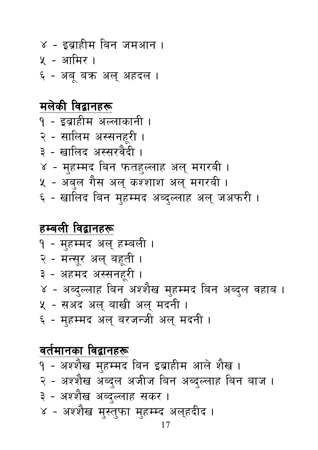### वर्तमानका विद्वानहरू

- ६ महम्मद अल बरजन्जी अल मदनी।
- ५ सअद अलु बाखी अलु मदनी।
- ४ अब्दल्लाह बिन अश्शैख मुहम्मद बिन अब्दुल वहाब ।
- ३ अहमद अस्सनहरी।
- २ मन्सूर अल् बहुती ।
- १ मुहम्मद अल् हम्बली ।

#### हम्बली विद्वा<u>नहरू</u>

- ६ खालिद बिन मुहम्मद अब्दुल्लाह अलु जअफरी।
- ५ अबुल गैस अलु कश्शाश अलु मगरबी ।
- ४ मुहम्मद बिन फतहल्लाह अलु मगरबी ।
- ३ खालिद अस्सरवैदी।
- २ सालिम अस्सनहरी।
- १ इब्राहीम अल्लाकानी ।

#### मलेकी विद्वानहरू

- ६ अब बक्र अलु अहदल ।
- ५ आमिर ।
- ४ इब्राहीम बिन जमआन ।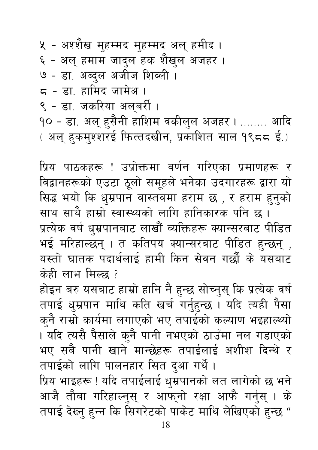५ - अश्शैख मुहम्मद मुहम्मद अल् हमीद । ६ - अल् हमाम जादुल हक शैखल अजहर । ७ - डा. अब्दल अजीज शिब्ली। ८ - डा. हामिद जामेअ । ९ - डा. जकरिया अलुबर्री । १० - डा. अल् हसैनी हाशिम वकील्ल अजहर । ........ आदि (अल् हकम्श्शरई फित्तदखीन, प्रकाशित साल १९८८ ई.)

प्रिय पाठकहरू ! उप्रोक्तमा वर्णन गरिएका प्रमाणहरू र विद्वानहरूको एउटा ठूलो समूहले भनेका उदगारहरू द्वारा यो सिद्ध भयो कि धुम्रपान वास्तवमा हराम छ , र हराम हुनुको साथ साथै हाम्रो स्वास्थ्यको लागि हानिकारक पनि छ । प्रत्येक वर्ष धुम्रपानबाट लाखौं व्यक्तिहरू क्यान्सरबाट पीडित भई मरिहाल्छन । त कतिपय क्यान्सरबाट पीडित हन्छन . यस्तो घातक पदार्थलाई हामी किन सेवन गर्छौं के यसबाट केही लाभ मिल्छ ?

होइन बरु यसबाट हाम्रो हानि नै हुन्छ सोच्नुस् कि प्रत्येक वर्ष तपाई धम्रपान माथि कति खर्च गर्नुहुन्छ । यदि त्यही पैसा कनै राम्रो कार्यमा लगाएको भए तपाईको कल्याण भइहाल्थ्यो । यदि त्यसै पैसाले कुनै पानी नभएको ठाउँमा नल गडाएको भए सबै पानी खाने मान्छेहरू तपाईलाई अशीश दिन्थे र तपाईको लागि पालनहार सित द्आ गर्थे। प्रिय भाइहरू ! यदि तपाईलाई धुम्रपानको लत लागेको छ भने आजै तौबा गरिहाल्नुस् र आफ्नो रक्षा आफै गर्नुस् । के तपाई देख्न् हन्न कि सिगरेटको पाकेट माथि लेखिएको हन्छ "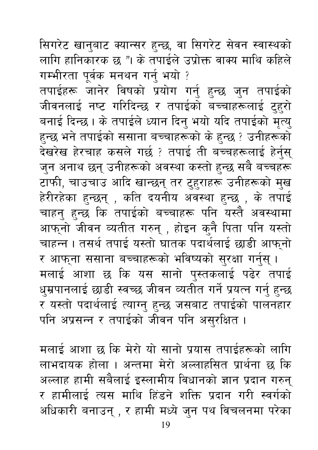सिगरेट खानुबाट क्यान्सर हुन्छ, वा सिगरेट सेवन स्वास्थको लागि हानिकारक छ "। के तपाईले उप्रोक्त वाक्य माथि कहिले गम्भीरता पूर्वक मनथन गर्नु भयो ?

तपाईहरू जानेर विषको प्रयोग गर्नु हुन्छ जुन तपाईको जीवनलाई नष्ट गरिदिन्छ र तपाईको बच्चाहरूलाई ट्हरो बनाई दिन्छ । के तपाईले ध्यान दिनु भयो यदि तपाईको मृत्यु हुन्छ भने तपाईको ससाना बच्चाहरूको के हुन्छ ? उनीहरूको देखरेख हेरचाह कसले गर्छ ? तपाई ती बच्चहरूलाई हेर्न्**स्** जुन अनाथ छन् उनीहरूको अवस्था कस्तो हुन्छ सबै बच्चहरू टाफी, चाउचाउ आदि खान्छन् तर टुहुराहरू उनीहरूको मुख हेरीरहेका हुन्छन्, कति दयनीय अवस्था हुन्छ , के तपाई चाहन् हुन्छ कि तपाईको बच्चाहरू पनि यस्तै अवस्थामा आफ्नो जीवन व्यतीत गरुन् , होइन कुनै पिता पनि यस्तो चाहन्न । तसर्थ तपाई यस्तो घातक पदार्थलाई छाडी आफनो र आफ्ना ससाना बच्चाहरूको भविष्यको सुरक्षा गर्नुस् । मलाई आशा छ कि यस सानो पुस्तकलाई पढेर तपाई धुम्रपानलाई छाडी स्वच्छ जीवन व्यतीत गर्ने प्रयत्न गर्न् हुन्छ र यस्तो पदार्थलाई त्याग्न् हुन्छ जसबाट तपाईको पालनहार पनि अप्रसन्न र तपाईको जीवन पनि असुरक्षित ।

मलाई आशा छ कि मेरो यो सानो प्रयास तपाईहरूको लागि लाभदायक होला । अन्तमा मेरो अल्लाहसित प्रार्थना छ कि अल्लाह हामी सबैलाई इस्लामीय विधानको ज्ञान प्रदान गरुन् र हामीलाई त्यस माथि हिंडने शक्ति प्रदान गरी स्वर्गको अधिकारी बनाउन् , र हामी मध्ये जन पथ विचलनमा परेका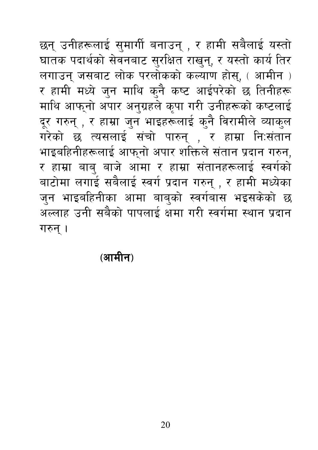छन् उनीहरूलाई सुमार्गी बनाउन् , र हामी सबैलाई यस्तो घातक पदार्थको सेवनबाट सुरक्षित राखन, र यस्तो कार्य तिर लगाउन् जसबाट लोक परलोकको कल्याण होस्, (आमीन) र हामी मध्ये जुन माथि कुनै कष्ट आईपरेको छ तिनीहरू माथि आफ्नो अपार अन्ग्रहले कृपा गरी उनीहरूको कष्टलाई दूर गरुन् , र हाम्रा जुन भाइहरूलाई कुनै विरामीले व्याकुल गरेको छ त्यसलाई संचो पारुन् , र हाम्रा निःसंतान भाइबहिनीहरूलाई आफ्नो अपार शक्तिले संतान प्रदान गरुन, र हाम्रा बाब् बाजे आमा र हाम्रा संतानहरूलाई स्वर्गको बाटोमा लगाई सबैलाई स्वर्ग प्रदान गरुन् , र हामी मध्येका जुन भाइबहिनीका आमा बाबुको स्वर्गबास भइसकेको छ अल्लाह उनी सबैको पापलाई क्षमा गरी स्वर्गमा स्थान प्रदान गरुन ।

(आमीन)